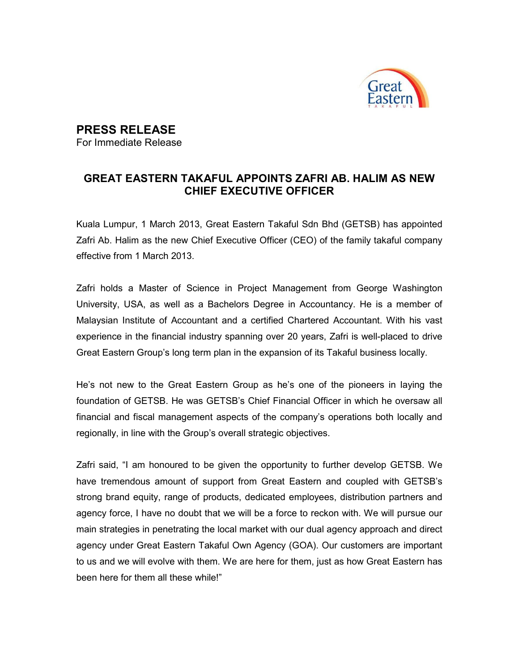

## PRESS RELEASE

For Immediate Release

## GREAT EASTERN TAKAFUL APPOINTS ZAFRI AB. HALIM AS NEW CHIEF EXECUTIVE OFFICER

Kuala Lumpur, 1 March 2013, Great Eastern Takaful Sdn Bhd (GETSB) has appointed Zafri Ab. Halim as the new Chief Executive Officer (CEO) of the family takaful company effective from 1 March 2013.

Zafri holds a Master of Science in Project Management from George Washington University, USA, as well as a Bachelors Degree in Accountancy. He is a member of Malaysian Institute of Accountant and a certified Chartered Accountant. With his vast experience in the financial industry spanning over 20 years, Zafri is well-placed to drive Great Eastern Group's long term plan in the expansion of its Takaful business locally.

He's not new to the Great Eastern Group as he's one of the pioneers in laying the foundation of GETSB. He was GETSB's Chief Financial Officer in which he oversaw all financial and fiscal management aspects of the company's operations both locally and regionally, in line with the Group's overall strategic objectives.

Zafri said, "I am honoured to be given the opportunity to further develop GETSB. We have tremendous amount of support from Great Eastern and coupled with GETSB's strong brand equity, range of products, dedicated employees, distribution partners and agency force, I have no doubt that we will be a force to reckon with. We will pursue our main strategies in penetrating the local market with our dual agency approach and direct agency under Great Eastern Takaful Own Agency (GOA). Our customers are important to us and we will evolve with them. We are here for them, just as how Great Eastern has been here for them all these while!"